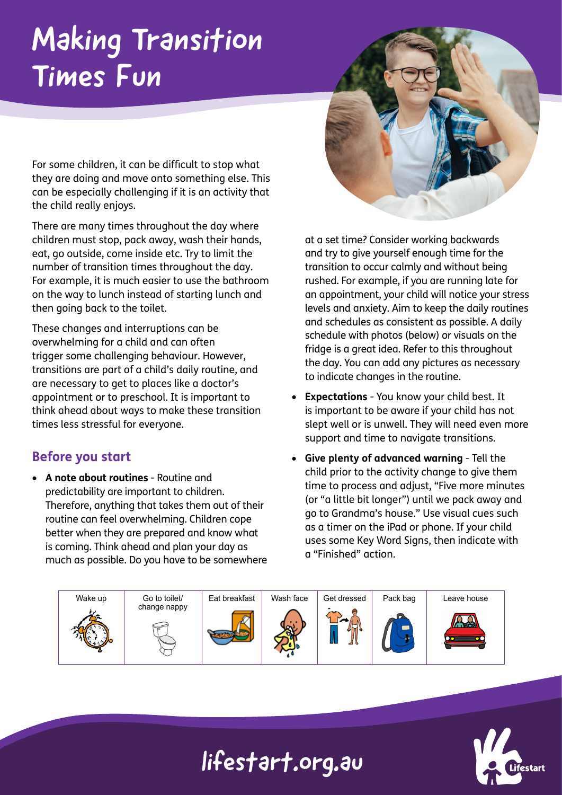# Making Transition Times Fun

For some children, it can be difficult to stop what they are doing and move onto something else. This can be especially challenging if it is an activity that the child really enjoys.

There are many times throughout the day where children must stop, pack away, wash their hands, eat, go outside, come inside etc. Try to limit the number of transition times throughout the day. For example, it is much easier to use the bathroom on the way to lunch instead of starting lunch and then going back to the toilet.

These changes and interruptions can be overwhelming for a child and can often trigger some challenging behaviour. However, transitions are part of a child's daily routine, and are necessary to get to places like a doctor's appointment or to preschool. It is important to think ahead about ways to make these transition times less stressful for everyone.

#### **Before you start**

• **A note about routines** - Routine and predictability are important to children. Therefore, anything that takes them out of their routine can feel overwhelming. Children cope better when they are prepared and know what is coming. Think ahead and plan your day as much as possible. Do you have to be somewhere at a set time? Consider working backwards and try to give yourself enough time for the transition to occur calmly and without being rushed. For example, if you are running late for an appointment, your child will notice your stress levels and anxiety. Aim to keep the daily routines and schedules as consistent as possible. A daily schedule with photos (below) or visuals on the fridge is a great idea. Refer to this throughout the day. You can add any pictures as necessary to indicate changes in the routine.

- **Expectations** You know your child best. It is important to be aware if your child has not slept well or is unwell. They will need even more support and time to navigate transitions.
- **Give plenty of advanced warning** Tell the child prior to the activity change to give them time to process and adjust, "Five more minutes (or "a little bit longer") until we pack away and go to Grandma's house." Use visual cues such as a timer on the iPad or phone. If your child uses some Key Word Signs, then indicate with a "Finished" action.





### lifestart.org.au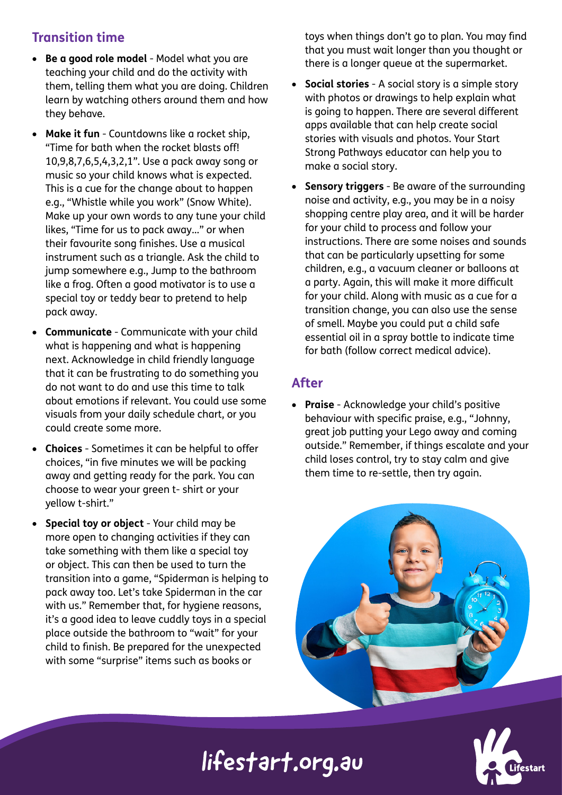### **Transition time**

- **Be a good role model** Model what you are teaching your child and do the activity with them, telling them what you are doing. Children learn by watching others around them and how they behave.
- **Make it fun**  Countdowns like a rocket ship, "Time for bath when the rocket blasts off! 10,9,8,7,6,5,4,3,2,1". Use a pack away song or music so your child knows what is expected. This is a cue for the change about to happen e.g., "Whistle while you work" (Snow White). Make up your own words to any tune your child likes, "Time for us to pack away…" or when their favourite song finishes. Use a musical instrument such as a triangle. Ask the child to jump somewhere e.g., Jump to the bathroom like a frog. Often a good motivator is to use a special toy or teddy bear to pretend to help pack away.
- **Communicate** Communicate with your child what is happening and what is happening next. Acknowledge in child friendly language that it can be frustrating to do something you do not want to do and use this time to talk about emotions if relevant. You could use some visuals from your daily schedule chart, or you could create some more.
- **Choices** Sometimes it can be helpful to offer choices, "in five minutes we will be packing away and getting ready for the park. You can choose to wear your green t- shirt or your yellow t-shirt."
- **Special toy or object** Your child may be more open to changing activities if they can take something with them like a special toy or object. This can then be used to turn the transition into a game, "Spiderman is helping to pack away too. Let's take Spiderman in the car with us." Remember that, for hygiene reasons, it's a good idea to leave cuddly toys in a special place outside the bathroom to "wait" for your child to finish. Be prepared for the unexpected with some "surprise" items such as books or

toys when things don't go to plan. You may find that you must wait longer than you thought or there is a longer queue at the supermarket.

- **Social stories** A social story is a simple story with photos or drawings to help explain what is going to happen. There are several different apps available that can help create social stories with visuals and photos. Your Start Strong Pathways educator can help you to make a social story.
- **Sensory triggers** Be aware of the surrounding noise and activity, e.g., you may be in a noisy shopping centre play area, and it will be harder for your child to process and follow your instructions. There are some noises and sounds that can be particularly upsetting for some children, e.g., a vacuum cleaner or balloons at a party. Again, this will make it more difficult for your child. Along with music as a cue for a transition change, you can also use the sense of smell. Maybe you could put a child safe essential oil in a spray bottle to indicate time for bath (follow correct medical advice).

#### **After**

• **Praise** - Acknowledge your child's positive behaviour with specific praise, e.g., "Johnny, great job putting your Lego away and coming outside." Remember, if things escalate and your child loses control, try to stay calm and give them time to re-settle, then try again.





## lifestart.org.au